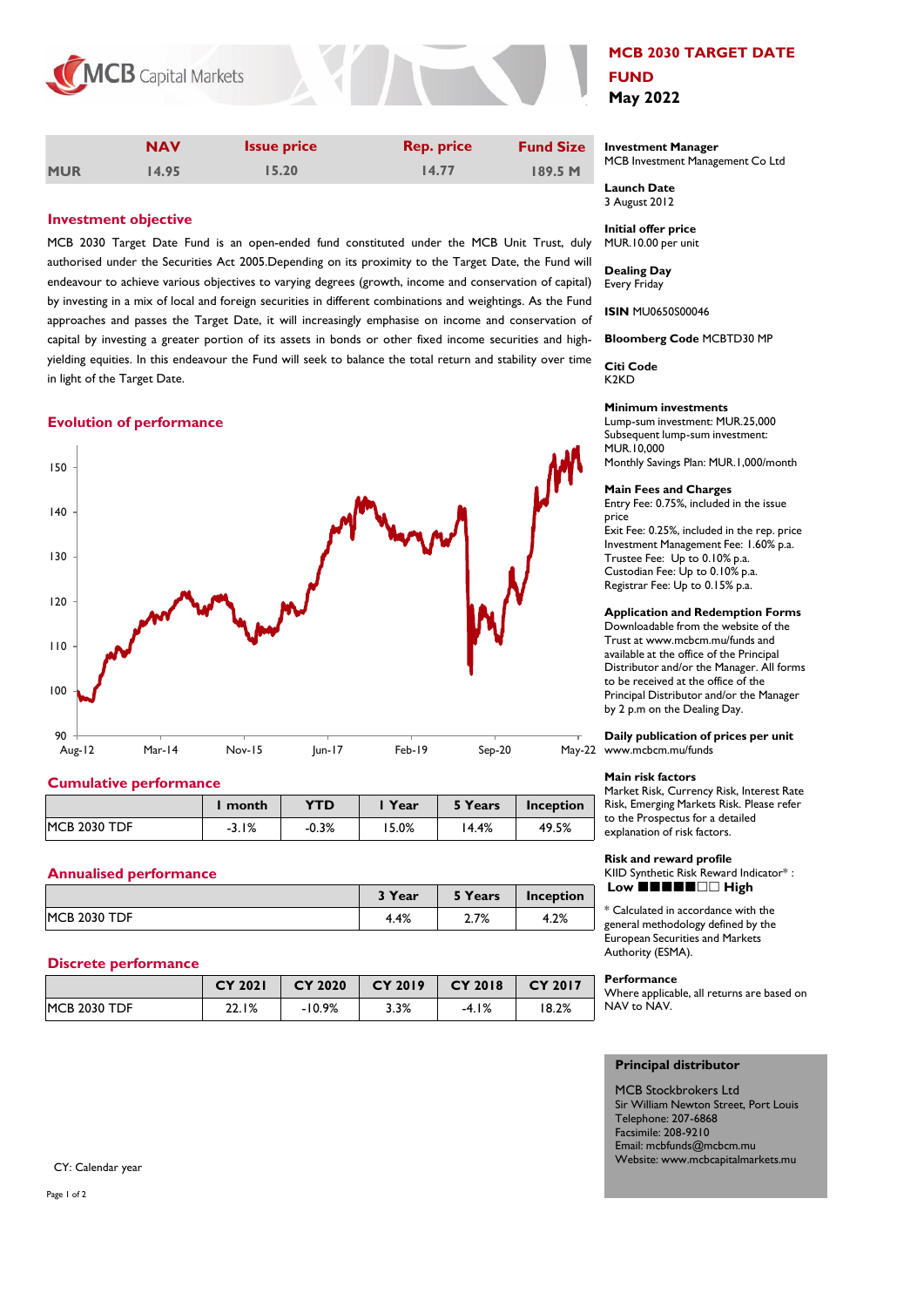

|            | <b>NAV</b> | <b>Issue price</b> | <b>Rep. price</b> | <b>Fund Size</b> |
|------------|------------|--------------------|-------------------|------------------|
| <b>MUR</b> | 14.95      | 15.20              | 14.77             | 189.5 M          |

# **Investment objective**

MCB 2030 Target Date Fund is an open-ended fund constituted under the MCB Unit Trust, duly authorised under the Securities Act 2005.Depending on its proximity to the Target Date, the Fund will endeavour to achieve various objectives to varying degrees (growth, income and conservation of capital) by investing in a mix of local and foreign securities in different combinations and weightings. As the Fund approaches and passes the Target Date, it will increasingly emphasise on income and conservation of capital by investing a greater portion of its assets in bonds or other fixed income securities and highyielding equities. In this endeavour the Fund will seek to balance the total return and stability over time in light of the Target Date.

# **Evolution of performance**



# **Cumulative performance**

|                     | l month | YTD.    | Year  | 5 Years | Inception |
|---------------------|---------|---------|-------|---------|-----------|
| <b>MCB 2030 TDF</b> | $-3.1%$ | $-0.3%$ | 15.0% | 14.4%   | 49.5%     |

# **Annualised performance**

|                     | <sup>3</sup> Year | 5 Years       | Inception |
|---------------------|-------------------|---------------|-----------|
| <b>MCB 2030 TDF</b> | 4.4%              | 7 70/<br>2.1% | 4.2%      |

## **Discrete performance**

|                     | <b>CY 2021</b> | <b>CY 2020</b> | <b>CY 2019</b> | <b>CY 2018</b> | CY 2017 |
|---------------------|----------------|----------------|----------------|----------------|---------|
| <b>MCB 2030 TDF</b> | 22.1%          | $-10.9%$       | 3.3%           | $-4.1%$        | 18.2%   |

# **MCB 2030 TARGET DATE FUND May 2022**

#### **Investment Manager**  MCB Investment Management Co Ltd

**Launch Date** 3 August 2012

**Initial offer price** MUR.10.00 per unit

**Dealing Day** Every Friday

**ISIN** MU0650S00046

**Bloomberg Code** MCBTD30 MP

**Citi Code** K2KD

## **Minimum investments**

Lump-sum investment: MUR.25,000 Subsequent lump-sum investment: MUR.10,000 Monthly Savings Plan: MUR.1,000/month

#### **Main Fees and Charges**

Entry Fee: 0.75%, included in the issue price Exit Fee: 0.25%, included in the rep. price

Investment Management Fee: 1.60% p.a. Trustee Fee: Up to 0.10% p.a. Custodian Fee: Up to 0.10% p.a. Registrar Fee: Up to 0.15% p.a.

#### **Application and Redemption Forms**

Downloadable from the website of the Trust at www.mcbcm.mu/funds and available at the office of the Principal Distributor and/or the Manager. All forms to be received at the office of the Principal Distributor and/or the Manager by 2 p.m on the Dealing Day.

### **Daily publication of prices per unit** May-22 www.mcbcm.mu/funds

#### **Main risk factors**

Market Risk, Currency Risk, Interest Rate Risk, Emerging Markets Risk. Please refer to the Prospectus for a detailed explanation of risk factors.

## **Risk and reward profile**

KIID Synthetic Risk Reward Indicator\* : Low **HHHHHHHH** 

\* Calculated in accordance with the general methodology defined by the European Securities and Markets Authority (ESMA).

## **Performance**

Where applicable, all returns are based on NAV to NAV.

## **Principal distributor**

MCB Stockbrokers Ltd Sir William Newton Street, Port Louis Telephone: 207-6868 Facsimile: 208-9210 Email: mcbfunds@mcbcm.mu Website: www.mcbcapitalmarkets.mu

CY: Calendar year